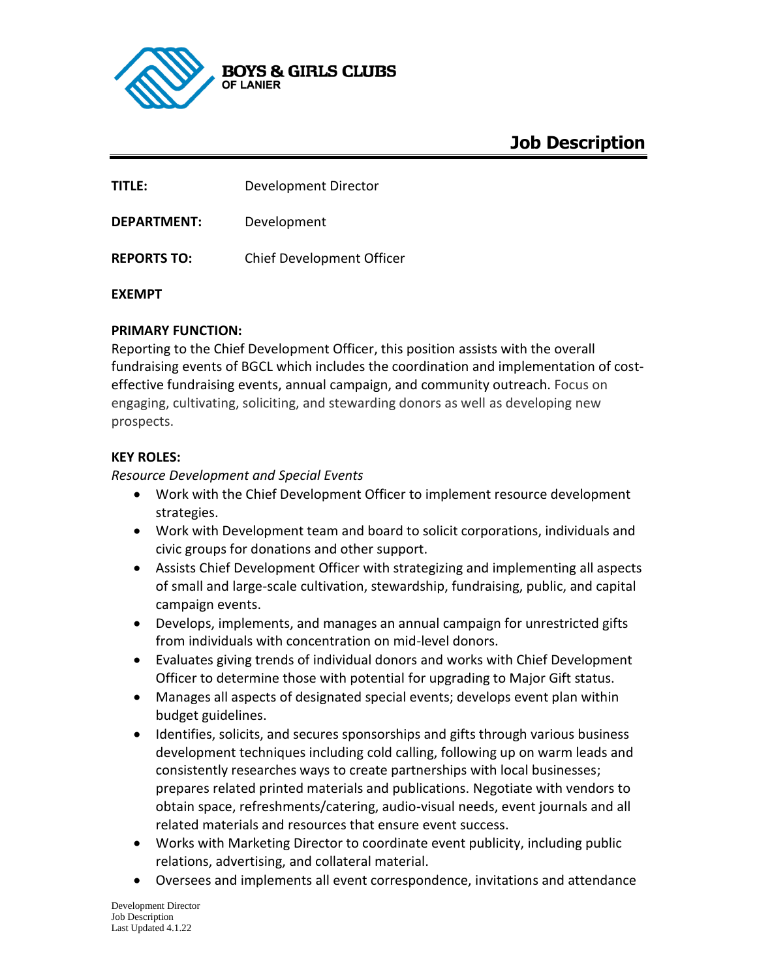

# **Job Description**

**TITLE:** Development Director

**DEPARTMENT:** Development

**REPORTS TO:** Chief Development Officer

#### **EXEMPT**

# **PRIMARY FUNCTION:**

Reporting to the Chief Development Officer, this position assists with the overall fundraising events of BGCL which includes the coordination and implementation of costeffective fundraising events, annual campaign, and community outreach. Focus on engaging, cultivating, soliciting, and stewarding donors as well as developing new prospects.

#### **KEY ROLES:**

#### *Resource Development and Special Events*

- Work with the Chief Development Officer to implement resource development strategies.
- Work with Development team and board to solicit corporations, individuals and civic groups for donations and other support.
- Assists Chief Development Officer with strategizing and implementing all aspects of small and large-scale cultivation, stewardship, fundraising, public, and capital campaign events.
- Develops, implements, and manages an annual campaign for unrestricted gifts from individuals with concentration on mid-level donors.
- Evaluates giving trends of individual donors and works with Chief Development Officer to determine those with potential for upgrading to Major Gift status.
- Manages all aspects of designated special events; develops event plan within budget guidelines.
- Identifies, solicits, and secures sponsorships and gifts through various business development techniques including cold calling, following up on warm leads and consistently researches ways to create partnerships with local businesses; prepares related printed materials and publications. Negotiate with vendors to obtain space, refreshments/catering, audio-visual needs, event journals and all related materials and resources that ensure event success.
- Works with Marketing Director to coordinate event publicity, including public relations, advertising, and collateral material.
- Oversees and implements all event correspondence, invitations and attendance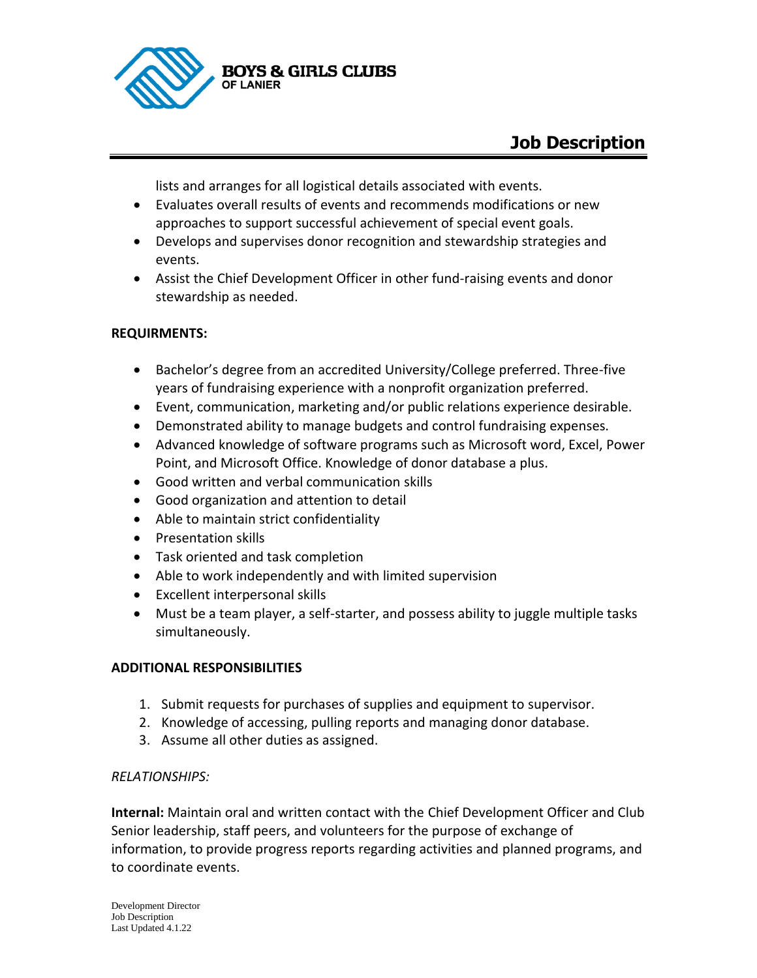

lists and arranges for all logistical details associated with events.

- Evaluates overall results of events and recommends modifications or new approaches to support successful achievement of special event goals.
- Develops and supervises donor recognition and stewardship strategies and events.
- Assist the Chief Development Officer in other fund-raising events and donor stewardship as needed.

# **REQUIRMENTS:**

- Bachelor's degree from an accredited University/College preferred. Three-five years of fundraising experience with a nonprofit organization preferred.
- Event, communication, marketing and/or public relations experience desirable.
- Demonstrated ability to manage budgets and control fundraising expenses.
- Advanced knowledge of software programs such as Microsoft word, Excel, Power Point, and Microsoft Office. Knowledge of donor database a plus.
- Good written and verbal communication skills
- Good organization and attention to detail
- Able to maintain strict confidentiality
- Presentation skills
- Task oriented and task completion
- Able to work independently and with limited supervision
- Excellent interpersonal skills
- Must be a team player, a self-starter, and possess ability to juggle multiple tasks simultaneously.

# **ADDITIONAL RESPONSIBILITIES**

- 1. Submit requests for purchases of supplies and equipment to supervisor.
- 2. Knowledge of accessing, pulling reports and managing donor database.
- 3. Assume all other duties as assigned.

#### *RELATIONSHIPS:*

**Internal:** Maintain oral and written contact with the Chief Development Officer and Club Senior leadership, staff peers, and volunteers for the purpose of exchange of information, to provide progress reports regarding activities and planned programs, and to coordinate events.